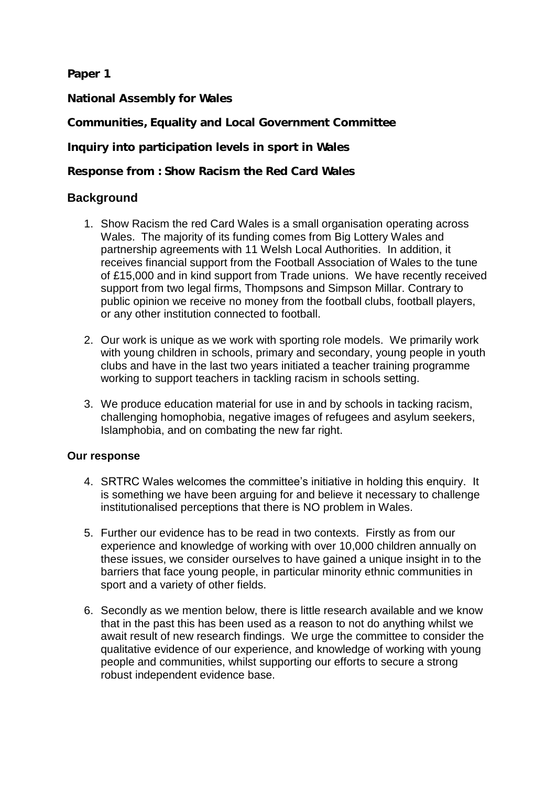**Paper 1**

**National Assembly for Wales**

**Communities, Equality and Local Government Committee**

**Inquiry into participation levels in sport in Wales** 

**Response from : Show Racism the Red Card Wales**

## **Background**

- 1. Show Racism the red Card Wales is a small organisation operating across Wales. The majority of its funding comes from Big Lottery Wales and partnership agreements with 11 Welsh Local Authorities. In addition, it receives financial support from the Football Association of Wales to the tune of £15,000 and in kind support from Trade unions. We have recently received support from two legal firms, Thompsons and Simpson Millar. Contrary to public opinion we receive no money from the football clubs, football players, or any other institution connected to football.
- 2. Our work is unique as we work with sporting role models. We primarily work with young children in schools, primary and secondary, young people in youth clubs and have in the last two years initiated a teacher training programme working to support teachers in tackling racism in schools setting.
- 3. We produce education material for use in and by schools in tacking racism, challenging homophobia, negative images of refugees and asylum seekers, Islamphobia, and on combating the new far right.

## **Our response**

- 4. SRTRC Wales welcomes the committee's initiative in holding this enquiry. It is something we have been arguing for and believe it necessary to challenge institutionalised perceptions that there is NO problem in Wales.
- 5. Further our evidence has to be read in two contexts. Firstly as from our experience and knowledge of working with over 10,000 children annually on these issues, we consider ourselves to have gained a unique insight in to the barriers that face young people, in particular minority ethnic communities in sport and a variety of other fields.
- 6. Secondly as we mention below, there is little research available and we know that in the past this has been used as a reason to not do anything whilst we await result of new research findings. We urge the committee to consider the qualitative evidence of our experience, and knowledge of working with young people and communities, whilst supporting our efforts to secure a strong robust independent evidence base.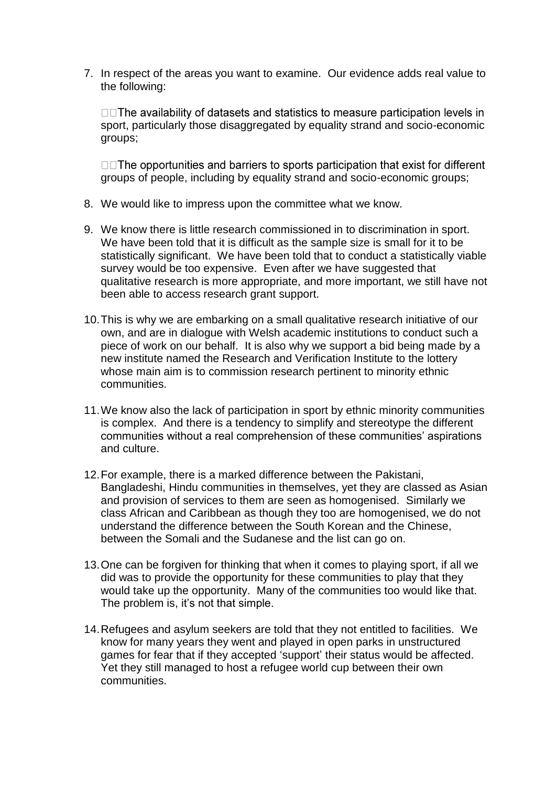7. In respect of the areas you want to examine. Our evidence adds real value to the following:

□□ The availability of datasets and statistics to measure participation levels in sport, particularly those disaggregated by equality strand and socio-economic groups;

□□The opportunities and barriers to sports participation that exist for different groups of people, including by equality strand and socio-economic groups;

- 8. We would like to impress upon the committee what we know.
- 9. We know there is little research commissioned in to discrimination in sport. We have been told that it is difficult as the sample size is small for it to be statistically significant. We have been told that to conduct a statistically viable survey would be too expensive. Even after we have suggested that qualitative research is more appropriate, and more important, we still have not been able to access research grant support.
- 10.This is why we are embarking on a small qualitative research initiative of our own, and are in dialogue with Welsh academic institutions to conduct such a piece of work on our behalf. It is also why we support a bid being made by a new institute named the Research and Verification Institute to the lottery whose main aim is to commission research pertinent to minority ethnic communities.
- 11.We know also the lack of participation in sport by ethnic minority communities is complex. And there is a tendency to simplify and stereotype the different communities without a real comprehension of these communities' aspirations and culture.
- 12.For example, there is a marked difference between the Pakistani, Bangladeshi, Hindu communities in themselves, yet they are classed as Asian and provision of services to them are seen as homogenised. Similarly we class African and Caribbean as though they too are homogenised, we do not understand the difference between the South Korean and the Chinese, between the Somali and the Sudanese and the list can go on.
- 13.One can be forgiven for thinking that when it comes to playing sport, if all we did was to provide the opportunity for these communities to play that they would take up the opportunity. Many of the communities too would like that. The problem is, it's not that simple.
- 14.Refugees and asylum seekers are told that they not entitled to facilities. We know for many years they went and played in open parks in unstructured games for fear that if they accepted 'support' their status would be affected. Yet they still managed to host a refugee world cup between their own communities.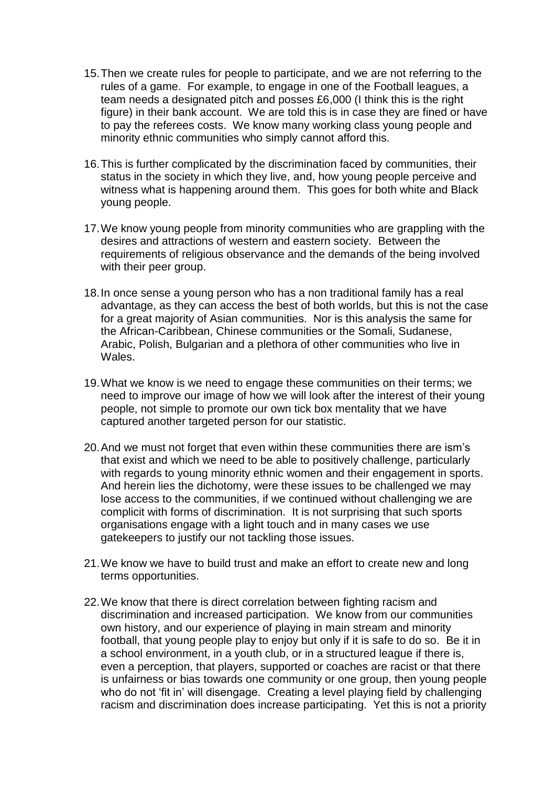- 15.Then we create rules for people to participate, and we are not referring to the rules of a game. For example, to engage in one of the Football leagues, a team needs a designated pitch and posses £6,000 (I think this is the right figure) in their bank account. We are told this is in case they are fined or have to pay the referees costs. We know many working class young people and minority ethnic communities who simply cannot afford this.
- 16.This is further complicated by the discrimination faced by communities, their status in the society in which they live, and, how young people perceive and witness what is happening around them. This goes for both white and Black young people.
- 17.We know young people from minority communities who are grappling with the desires and attractions of western and eastern society. Between the requirements of religious observance and the demands of the being involved with their peer group.
- 18.In once sense a young person who has a non traditional family has a real advantage, as they can access the best of both worlds, but this is not the case for a great majority of Asian communities. Nor is this analysis the same for the African-Caribbean, Chinese communities or the Somali, Sudanese, Arabic, Polish, Bulgarian and a plethora of other communities who live in Wales.
- 19.What we know is we need to engage these communities on their terms; we need to improve our image of how we will look after the interest of their young people, not simple to promote our own tick box mentality that we have captured another targeted person for our statistic.
- 20.And we must not forget that even within these communities there are ism's that exist and which we need to be able to positively challenge, particularly with regards to young minority ethnic women and their engagement in sports. And herein lies the dichotomy, were these issues to be challenged we may lose access to the communities, if we continued without challenging we are complicit with forms of discrimination. It is not surprising that such sports organisations engage with a light touch and in many cases we use gatekeepers to justify our not tackling those issues.
- 21.We know we have to build trust and make an effort to create new and long terms opportunities.
- 22.We know that there is direct correlation between fighting racism and discrimination and increased participation. We know from our communities own history, and our experience of playing in main stream and minority football, that young people play to enjoy but only if it is safe to do so. Be it in a school environment, in a youth club, or in a structured league if there is, even a perception, that players, supported or coaches are racist or that there is unfairness or bias towards one community or one group, then young people who do not 'fit in' will disengage. Creating a level playing field by challenging racism and discrimination does increase participating. Yet this is not a priority